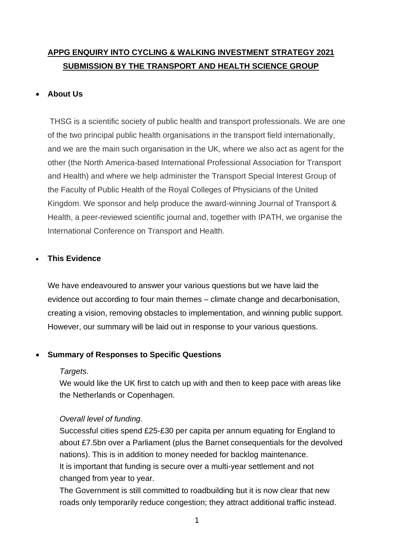# **APPG ENQUIRY INTO CYCLING & WALKING INVESTMENT STRATEGY 2021 SUBMISSION BY THE TRANSPORT AND HEALTH SCIENCE GROUP**

# • **About Us**

THSG is a scientific society of public health and transport professionals. We are one of the two principal public health organisations in the transport field internationally, and we are the main such organisation in the UK, where we also act as agent for the other (the North America-based International Professional Association for Transport and Health) and where we help administer the Transport Special Interest Group of the Faculty of Public Health of the Royal Colleges of Physicians of the United Kingdom. We sponsor and help produce the award-winning Journal of Transport & Health, a peer-reviewed scientific journal and, together with IPATH, we organise the International Conference on Transport and Health.

# • **This Evidence**

We have endeavoured to answer your various questions but we have laid the evidence out according to four main themes – climate change and decarbonisation, creating a vision, removing obstacles to implementation, and winning public support. However, our summary will be laid out in response to your various questions.

# • **Summary of Responses to Specific Questions**

# *Targets*.

We would like the UK first to catch up with and then to keep pace with areas like the Netherlands or Copenhagen.

# *Overall level of funding.*

Successful cities spend £25-£30 per capita per annum equating for England to about £7.5bn over a Parliament (plus the Barnet consequentials for the devolved nations). This is in addition to money needed for backlog maintenance. It is important that funding is secure over a multi-year settlement and not changed from year to year.

The Government is still committed to roadbuilding but it is now clear that new roads only temporarily reduce congestion; they attract additional traffic instead.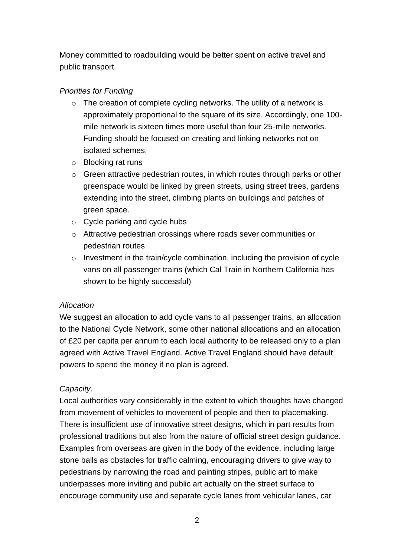Money committed to roadbuilding would be better spent on active travel and public transport.

# *Priorities for Funding*

- o The creation of complete cycling networks. The utility of a network is approximately proportional to the square of its size. Accordingly, one 100 mile network is sixteen times more useful than four 25-mile networks. Funding should be focused on creating and linking networks not on isolated schemes.
- o Blocking rat runs
- o Green attractive pedestrian routes, in which routes through parks or other greenspace would be linked by green streets, using street trees, gardens extending into the street, climbing plants on buildings and patches of green space.
- $\circ$  Cycle parking and cycle hubs
- o Attractive pedestrian crossings where roads sever communities or pedestrian routes
- $\circ$  Investment in the train/cycle combination, including the provision of cycle vans on all passenger trains (which Cal Train in Northern California has shown to be highly successful)

# *Allocation*

We suggest an allocation to add cycle vans to all passenger trains, an allocation to the National Cycle Network, some other national allocations and an allocation of £20 per capita per annum to each local authority to be released only to a plan agreed with Active Travel England. Active Travel England should have default powers to spend the money if no plan is agreed.

# *Capacity*.

Local authorities vary considerably in the extent to which thoughts have changed from movement of vehicles to movement of people and then to placemaking. There is insufficient use of innovative street designs, which in part results from professional traditions but also from the nature of official street design guidance. Examples from overseas are given in the body of the evidence, including large stone balls as obstacles for traffic calming, encouraging drivers to give way to pedestrians by narrowing the road and painting stripes, public art to make underpasses more inviting and public art actually on the street surface to encourage community use and separate cycle lanes from vehicular lanes, car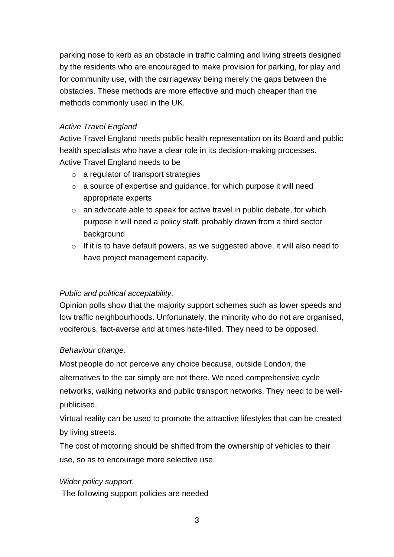parking nose to kerb as an obstacle in traffic calming and living streets designed by the residents who are encouraged to make provision for parking, for play and for community use, with the carriageway being merely the gaps between the obstacles. These methods are more effective and much cheaper than the methods commonly used in the UK.

# *Active Travel England*

Active Travel England needs public health representation on its Board and public health specialists who have a clear role in its decision-making processes. Active Travel England needs to be

- o a regulator of transport strategies
- o a source of expertise and guidance, for which purpose it will need appropriate experts
- o an advocate able to speak for active travel in public debate, for which purpose it will need a policy staff, probably drawn from a third sector background
- o If it is to have default powers, as we suggested above, it will also need to have project management capacity.

# *Public and political acceptability.*

Opinion polls show that the majority support schemes such as lower speeds and low traffic neighbourhoods. Unfortunately, the minority who do not are organised, vociferous, fact-averse and at times hate-filled. They need to be opposed.

# *Behaviour change*.

Most people do not perceive any choice because, outside London, the alternatives to the car simply are not there. We need comprehensive cycle networks, walking networks and public transport networks. They need to be wellpublicised.

Virtual reality can be used to promote the attractive lifestyles that can be created by living streets.

The cost of motoring should be shifted from the ownership of vehicles to their use, so as to encourage more selective use.

# *Wider policy support*.

The following support policies are needed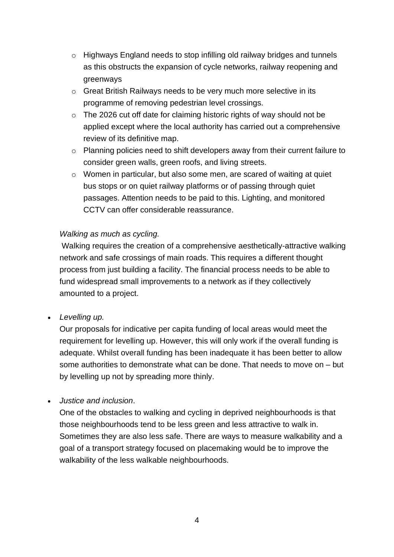- o Highways England needs to stop infilling old railway bridges and tunnels as this obstructs the expansion of cycle networks, railway reopening and greenways
- o Great British Railways needs to be very much more selective in its programme of removing pedestrian level crossings.
- o The 2026 cut off date for claiming historic rights of way should not be applied except where the local authority has carried out a comprehensive review of its definitive map.
- o Planning policies need to shift developers away from their current failure to consider green walls, green roofs, and living streets.
- $\circ$  Women in particular, but also some men, are scared of waiting at quiet bus stops or on quiet railway platforms or of passing through quiet passages. Attention needs to be paid to this. Lighting, and monitored CCTV can offer considerable reassurance.

# *Walking as much as cycling.*

Walking requires the creation of a comprehensive aesthetically-attractive walking network and safe crossings of main roads. This requires a different thought process from just building a facility. The financial process needs to be able to fund widespread small improvements to a network as if they collectively amounted to a project.

• *Levelling up.* 

Our proposals for indicative per capita funding of local areas would meet the requirement for levelling up. However, this will only work if the overall funding is adequate. Whilst overall funding has been inadequate it has been better to allow some authorities to demonstrate what can be done. That needs to move on – but by levelling up not by spreading more thinly.

• *Justice and inclusion*.

One of the obstacles to walking and cycling in deprived neighbourhoods is that those neighbourhoods tend to be less green and less attractive to walk in. Sometimes they are also less safe. There are ways to measure walkability and a goal of a transport strategy focused on placemaking would be to improve the walkability of the less walkable neighbourhoods.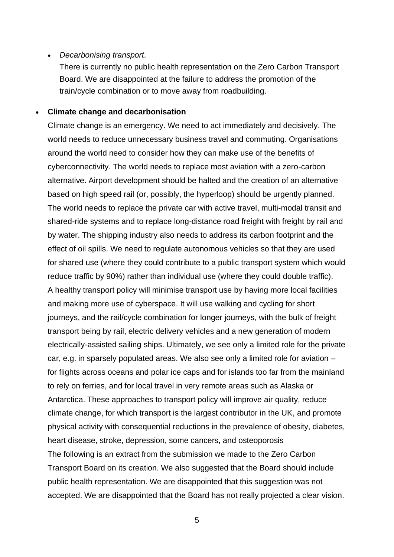#### • *Decarbonising transport*.

There is currently no public health representation on the Zero Carbon Transport Board. We are disappointed at the failure to address the promotion of the train/cycle combination or to move away from roadbuilding.

#### • **Climate change and decarbonisation**

Climate change is an emergency. We need to act immediately and decisively. The world needs to reduce unnecessary business travel and commuting. Organisations around the world need to consider how they can make use of the benefits of cyberconnectivity. The world needs to replace most aviation with a zero-carbon alternative. Airport development should be halted and the creation of an alternative based on high speed rail (or, possibly, the hyperloop) should be urgently planned. The world needs to replace the private car with active travel, multi-modal transit and shared-ride systems and to replace long-distance road freight with freight by rail and by water. The shipping industry also needs to address its carbon footprint and the effect of oil spills. We need to regulate autonomous vehicles so that they are used for shared use (where they could contribute to a public transport system which would reduce traffic by 90%) rather than individual use (where they could double traffic). A healthy transport policy will minimise transport use by having more local facilities and making more use of cyberspace. It will use walking and cycling for short journeys, and the rail/cycle combination for longer journeys, with the bulk of freight transport being by rail, electric delivery vehicles and a new generation of modern electrically-assisted sailing ships. Ultimately, we see only a limited role for the private car, e.g. in sparsely populated areas. We also see only a limited role for aviation – for flights across oceans and polar ice caps and for islands too far from the mainland to rely on ferries, and for local travel in very remote areas such as Alaska or Antarctica. These approaches to transport policy will improve air quality, reduce climate change, for which transport is the largest contributor in the UK, and promote physical activity with consequential reductions in the prevalence of obesity, diabetes, heart disease, stroke, depression, some cancers, and osteoporosis The following is an extract from the submission we made to the Zero Carbon Transport Board on its creation. We also suggested that the Board should include public health representation. We are disappointed that this suggestion was not accepted. We are disappointed that the Board has not really projected a clear vision.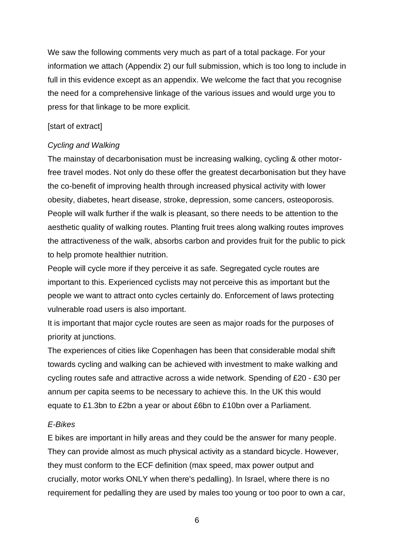We saw the following comments very much as part of a total package. For your information we attach (Appendix 2) our full submission, which is too long to include in full in this evidence except as an appendix. We welcome the fact that you recognise the need for a comprehensive linkage of the various issues and would urge you to press for that linkage to be more explicit.

### [start of extract]

## *Cycling and Walking*

The mainstay of decarbonisation must be increasing walking, cycling & other motorfree travel modes. Not only do these offer the greatest decarbonisation but they have the co-benefit of improving health through increased physical activity with lower obesity, diabetes, heart disease, stroke, depression, some cancers, osteoporosis. People will walk further if the walk is pleasant, so there needs to be attention to the aesthetic quality of walking routes. Planting fruit trees along walking routes improves the attractiveness of the walk, absorbs carbon and provides fruit for the public to pick to help promote healthier nutrition.

People will cycle more if they perceive it as safe. Segregated cycle routes are important to this. Experienced cyclists may not perceive this as important but the people we want to attract onto cycles certainly do. Enforcement of laws protecting vulnerable road users is also important.

It is important that major cycle routes are seen as major roads for the purposes of priority at junctions.

The experiences of cities like Copenhagen has been that considerable modal shift towards cycling and walking can be achieved with investment to make walking and cycling routes safe and attractive across a wide network. Spending of £20 - £30 per annum per capita seems to be necessary to achieve this. In the UK this would equate to £1.3bn to £2bn a year or about £6bn to £10bn over a Parliament.

### *E-Bikes*

E bikes are important in hilly areas and they could be the answer for many people. They can provide almost as much physical activity as a standard bicycle. However, they must conform to the ECF definition (max speed, max power output and crucially, motor works ONLY when there's pedalling). In Israel, where there is no requirement for pedalling they are used by males too young or too poor to own a car,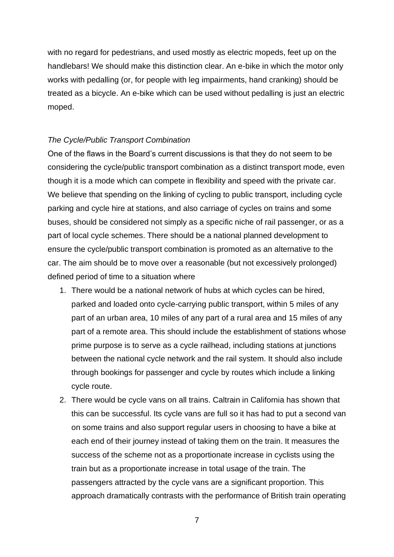with no regard for pedestrians, and used mostly as electric mopeds, feet up on the handlebars! We should make this distinction clear. An e-bike in which the motor only works with pedalling (or, for people with leg impairments, hand cranking) should be treated as a bicycle. An e-bike which can be used without pedalling is just an electric moped.

#### *The Cycle/Public Transport Combination*

One of the flaws in the Board's current discussions is that they do not seem to be considering the cycle/public transport combination as a distinct transport mode, even though it is a mode which can compete in flexibility and speed with the private car. We believe that spending on the linking of cycling to public transport, including cycle parking and cycle hire at stations, and also carriage of cycles on trains and some buses, should be considered not simply as a specific niche of rail passenger, or as a part of local cycle schemes. There should be a national planned development to ensure the cycle/public transport combination is promoted as an alternative to the car. The aim should be to move over a reasonable (but not excessively prolonged) defined period of time to a situation where

- 1. There would be a national network of hubs at which cycles can be hired, parked and loaded onto cycle-carrying public transport, within 5 miles of any part of an urban area, 10 miles of any part of a rural area and 15 miles of any part of a remote area. This should include the establishment of stations whose prime purpose is to serve as a cycle railhead, including stations at junctions between the national cycle network and the rail system. It should also include through bookings for passenger and cycle by routes which include a linking cycle route.
- 2. There would be cycle vans on all trains. Caltrain in California has shown that this can be successful. Its cycle vans are full so it has had to put a second van on some trains and also support regular users in choosing to have a bike at each end of their journey instead of taking them on the train. It measures the success of the scheme not as a proportionate increase in cyclists using the train but as a proportionate increase in total usage of the train. The passengers attracted by the cycle vans are a significant proportion. This approach dramatically contrasts with the performance of British train operating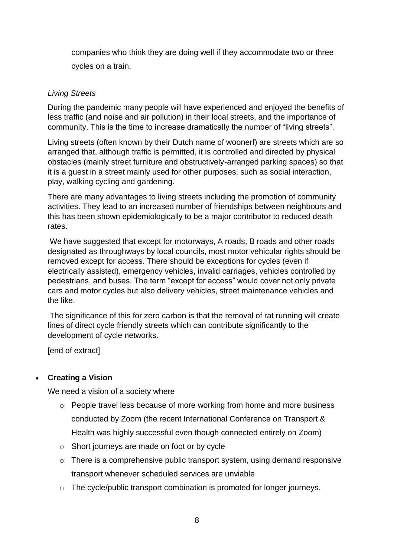companies who think they are doing well if they accommodate two or three cycles on a train.

## *Living Streets*

During the pandemic many people will have experienced and enjoyed the benefits of less traffic (and noise and air pollution) in their local streets, and the importance of community. This is the time to increase dramatically the number of "living streets".

Living streets (often known by their Dutch name of woonerf) are streets which are so arranged that, although traffic is permitted, it is controlled and directed by physical obstacles (mainly street furniture and obstructively-arranged parking spaces) so that it is a guest in a street mainly used for other purposes, such as social interaction, play, walking cycling and gardening.

There are many advantages to living streets including the promotion of community activities. They lead to an increased number of friendships between neighbours and this has been shown epidemiologically to be a major contributor to reduced death rates.

We have suggested that except for motorways, A roads, B roads and other roads designated as throughways by local councils, most motor vehicular rights should be removed except for access. There should be exceptions for cycles (even if electrically assisted), emergency vehicles, invalid carriages, vehicles controlled by pedestrians, and buses. The term "except for access" would cover not only private cars and motor cycles but also delivery vehicles, street maintenance vehicles and the like.

The significance of this for zero carbon is that the removal of rat running will create lines of direct cycle friendly streets which can contribute significantly to the development of cycle networks.

[end of extract]

# • **Creating a Vision**

We need a vision of a society where

- o People travel less because of more working from home and more business conducted by Zoom (the recent International Conference on Transport & Health was highly successful even though connected entirely on Zoom)
- o Short journeys are made on foot or by cycle
- o There is a comprehensive public transport system, using demand responsive transport whenever scheduled services are unviable
- o The cycle/public transport combination is promoted for longer journeys.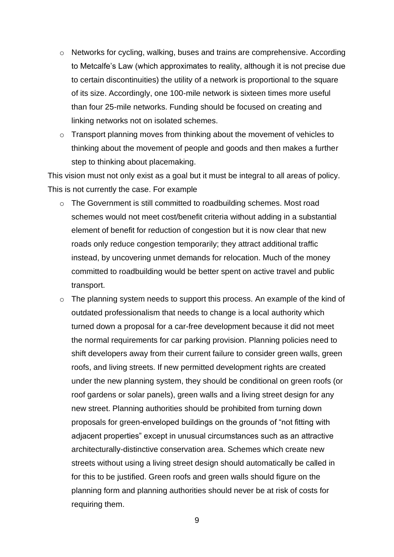- o Networks for cycling, walking, buses and trains are comprehensive. According to Metcalfe's Law (which approximates to reality, although it is not precise due to certain discontinuities) the utility of a network is proportional to the square of its size. Accordingly, one 100-mile network is sixteen times more useful than four 25-mile networks. Funding should be focused on creating and linking networks not on isolated schemes.
- o Transport planning moves from thinking about the movement of vehicles to thinking about the movement of people and goods and then makes a further step to thinking about placemaking.

This vision must not only exist as a goal but it must be integral to all areas of policy. This is not currently the case. For example

- o The Government is still committed to roadbuilding schemes. Most road schemes would not meet cost/benefit criteria without adding in a substantial element of benefit for reduction of congestion but it is now clear that new roads only reduce congestion temporarily; they attract additional traffic instead, by uncovering unmet demands for relocation. Much of the money committed to roadbuilding would be better spent on active travel and public transport.
- o The planning system needs to support this process. An example of the kind of outdated professionalism that needs to change is a local authority which turned down a proposal for a car-free development because it did not meet the normal requirements for car parking provision. Planning policies need to shift developers away from their current failure to consider green walls, green roofs, and living streets. If new permitted development rights are created under the new planning system, they should be conditional on green roofs (or roof gardens or solar panels), green walls and a living street design for any new street. Planning authorities should be prohibited from turning down proposals for green-enveloped buildings on the grounds of "not fitting with adjacent properties" except in unusual circumstances such as an attractive architecturally-distinctive conservation area. Schemes which create new streets without using a living street design should automatically be called in for this to be justified. Green roofs and green walls should figure on the planning form and planning authorities should never be at risk of costs for requiring them.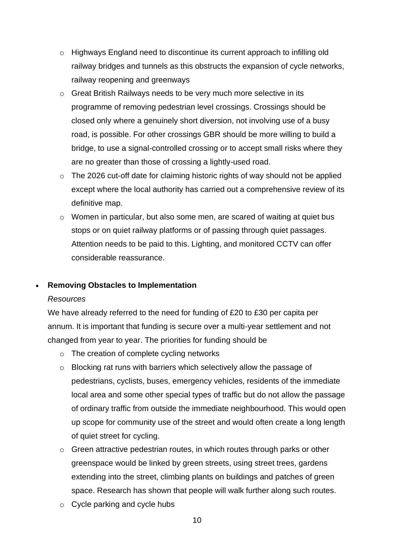- o Highways England need to discontinue its current approach to infilling old railway bridges and tunnels as this obstructs the expansion of cycle networks, railway reopening and greenways
- o Great British Railways needs to be very much more selective in its programme of removing pedestrian level crossings. Crossings should be closed only where a genuinely short diversion, not involving use of a busy road, is possible. For other crossings GBR should be more willing to build a bridge, to use a signal-controlled crossing or to accept small risks where they are no greater than those of crossing a lightly-used road.
- o The 2026 cut-off date for claiming historic rights of way should not be applied except where the local authority has carried out a comprehensive review of its definitive map.
- $\circ$  Women in particular, but also some men, are scared of waiting at quiet bus stops or on quiet railway platforms or of passing through quiet passages. Attention needs to be paid to this. Lighting, and monitored CCTV can offer considerable reassurance.

# • **Removing Obstacles to Implementation**

### *Resources*

We have already referred to the need for funding of £20 to £30 per capita per annum. It is important that funding is secure over a multi-year settlement and not changed from year to year. The priorities for funding should be

- o The creation of complete cycling networks
- o Blocking rat runs with barriers which selectively allow the passage of pedestrians, cyclists, buses, emergency vehicles, residents of the immediate local area and some other special types of traffic but do not allow the passage of ordinary traffic from outside the immediate neighbourhood. This would open up scope for community use of the street and would often create a long length of quiet street for cycling.
- o Green attractive pedestrian routes, in which routes through parks or other greenspace would be linked by green streets, using street trees, gardens extending into the street, climbing plants on buildings and patches of green space. Research has shown that people will walk further along such routes.
- o Cycle parking and cycle hubs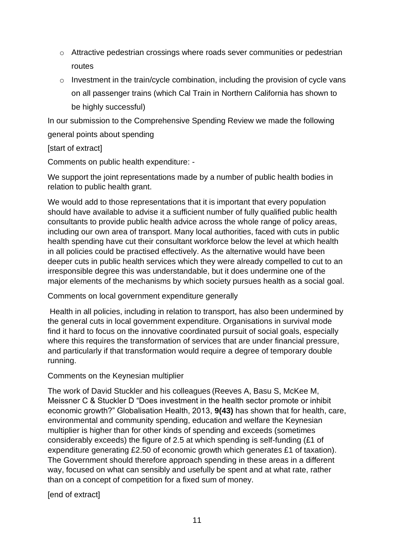- o Attractive pedestrian crossings where roads sever communities or pedestrian routes
- $\circ$  Investment in the train/cycle combination, including the provision of cycle vans on all passenger trains (which Cal Train in Northern California has shown to be highly successful)

In our submission to the Comprehensive Spending Review we made the following general points about spending

# [start of extract]

Comments on public health expenditure: -

We support the joint representations made by a number of public health bodies in relation to public health grant.

We would add to those representations that it is important that every population should have available to advise it a sufficient number of fully qualified public health consultants to provide public health advice across the whole range of policy areas, including our own area of transport. Many local authorities, faced with cuts in public health spending have cut their consultant workforce below the level at which health in all policies could be practised effectively. As the alternative would have been deeper cuts in public health services which they were already compelled to cut to an irresponsible degree this was understandable, but it does undermine one of the major elements of the mechanisms by which society pursues health as a social goal.

Comments on local government expenditure generally

Health in all policies, including in relation to transport, has also been undermined by the general cuts in local government expenditure. Organisations in survival mode find it hard to focus on the innovative coordinated pursuit of social goals, especially where this requires the transformation of services that are under financial pressure, and particularly if that transformation would require a degree of temporary double running.

Comments on the Keynesian multiplier

The work of David Stuckler and his colleagues (Reeves A, Basu S, McKee M, Meissner C & Stuckler D "Does investment in the health sector promote or inhibit economic growth?" Globalisation Health, 2013, **9(43)** has shown that for health, care, environmental and community spending, education and welfare the Keynesian multiplier is higher than for other kinds of spending and exceeds (sometimes considerably exceeds) the figure of 2.5 at which spending is self-funding (£1 of expenditure generating £2.50 of economic growth which generates £1 of taxation). The Government should therefore approach spending in these areas in a different way, focused on what can sensibly and usefully be spent and at what rate, rather than on a concept of competition for a fixed sum of money.

[end of extract]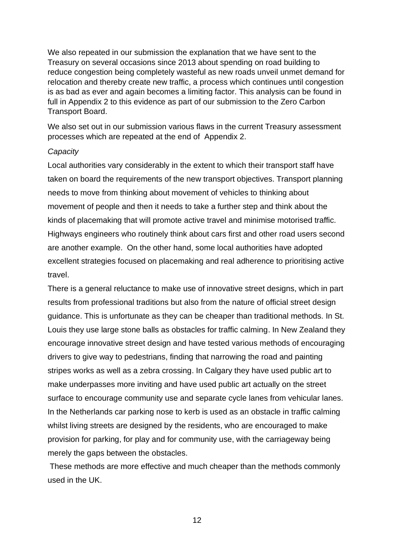We also repeated in our submission the explanation that we have sent to the Treasury on several occasions since 2013 about spending on road building to reduce congestion being completely wasteful as new roads unveil unmet demand for relocation and thereby create new traffic, a process which continues until congestion is as bad as ever and again becomes a limiting factor. This analysis can be found in full in Appendix 2 to this evidence as part of our submission to the Zero Carbon Transport Board.

We also set out in our submission various flaws in the current Treasury assessment processes which are repeated at the end of Appendix 2.

#### *Capacity*

Local authorities vary considerably in the extent to which their transport staff have taken on board the requirements of the new transport objectives. Transport planning needs to move from thinking about movement of vehicles to thinking about movement of people and then it needs to take a further step and think about the kinds of placemaking that will promote active travel and minimise motorised traffic. Highways engineers who routinely think about cars first and other road users second are another example. On the other hand, some local authorities have adopted excellent strategies focused on placemaking and real adherence to prioritising active travel.

There is a general reluctance to make use of innovative street designs, which in part results from professional traditions but also from the nature of official street design guidance. This is unfortunate as they can be cheaper than traditional methods. In St. Louis they use large stone balls as obstacles for traffic calming. In New Zealand they encourage innovative street design and have tested various methods of encouraging drivers to give way to pedestrians, finding that narrowing the road and painting stripes works as well as a zebra crossing. In Calgary they have used public art to make underpasses more inviting and have used public art actually on the street surface to encourage community use and separate cycle lanes from vehicular lanes. In the Netherlands car parking nose to kerb is used as an obstacle in traffic calming whilst living streets are designed by the residents, who are encouraged to make provision for parking, for play and for community use, with the carriageway being merely the gaps between the obstacles.

These methods are more effective and much cheaper than the methods commonly used in the UK.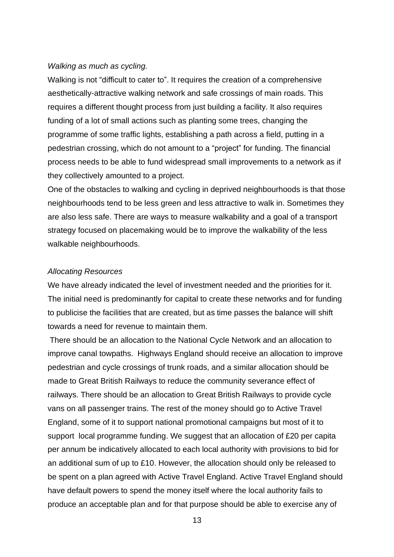#### *Walking as much as cycling.*

Walking is not "difficult to cater to". It requires the creation of a comprehensive aesthetically-attractive walking network and safe crossings of main roads. This requires a different thought process from just building a facility. It also requires funding of a lot of small actions such as planting some trees, changing the programme of some traffic lights, establishing a path across a field, putting in a pedestrian crossing, which do not amount to a "project" for funding. The financial process needs to be able to fund widespread small improvements to a network as if they collectively amounted to a project.

One of the obstacles to walking and cycling in deprived neighbourhoods is that those neighbourhoods tend to be less green and less attractive to walk in. Sometimes they are also less safe. There are ways to measure walkability and a goal of a transport strategy focused on placemaking would be to improve the walkability of the less walkable neighbourhoods.

#### *Allocating Resources*

We have already indicated the level of investment needed and the priorities for it. The initial need is predominantly for capital to create these networks and for funding to publicise the facilities that are created, but as time passes the balance will shift towards a need for revenue to maintain them.

There should be an allocation to the National Cycle Network and an allocation to improve canal towpaths. Highways England should receive an allocation to improve pedestrian and cycle crossings of trunk roads, and a similar allocation should be made to Great British Railways to reduce the community severance effect of railways. There should be an allocation to Great British Railways to provide cycle vans on all passenger trains. The rest of the money should go to Active Travel England, some of it to support national promotional campaigns but most of it to support local programme funding. We suggest that an allocation of £20 per capita per annum be indicatively allocated to each local authority with provisions to bid for an additional sum of up to £10. However, the allocation should only be released to be spent on a plan agreed with Active Travel England. Active Travel England should have default powers to spend the money itself where the local authority fails to produce an acceptable plan and for that purpose should be able to exercise any of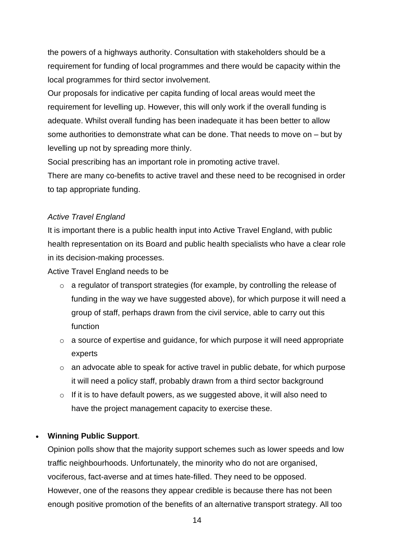the powers of a highways authority. Consultation with stakeholders should be a requirement for funding of local programmes and there would be capacity within the local programmes for third sector involvement.

Our proposals for indicative per capita funding of local areas would meet the requirement for levelling up. However, this will only work if the overall funding is adequate. Whilst overall funding has been inadequate it has been better to allow some authorities to demonstrate what can be done. That needs to move on – but by levelling up not by spreading more thinly.

Social prescribing has an important role in promoting active travel.

There are many co-benefits to active travel and these need to be recognised in order to tap appropriate funding.

## *Active Travel England*

It is important there is a public health input into Active Travel England, with public health representation on its Board and public health specialists who have a clear role in its decision-making processes.

Active Travel England needs to be

- o a regulator of transport strategies (for example, by controlling the release of funding in the way we have suggested above), for which purpose it will need a group of staff, perhaps drawn from the civil service, able to carry out this function
- o a source of expertise and guidance, for which purpose it will need appropriate experts
- o an advocate able to speak for active travel in public debate, for which purpose it will need a policy staff, probably drawn from a third sector background
- o If it is to have default powers, as we suggested above, it will also need to have the project management capacity to exercise these.

# • **Winning Public Support**.

Opinion polls show that the majority support schemes such as lower speeds and low traffic neighbourhoods. Unfortunately, the minority who do not are organised, vociferous, fact-averse and at times hate-filled. They need to be opposed. However, one of the reasons they appear credible is because there has not been enough positive promotion of the benefits of an alternative transport strategy. All too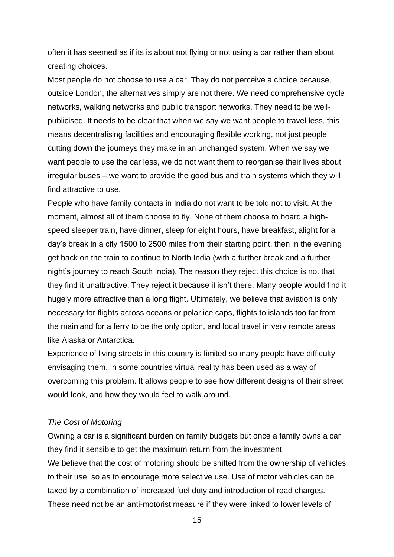often it has seemed as if its is about not flying or not using a car rather than about creating choices.

Most people do not choose to use a car. They do not perceive a choice because, outside London, the alternatives simply are not there. We need comprehensive cycle networks, walking networks and public transport networks. They need to be wellpublicised. It needs to be clear that when we say we want people to travel less, this means decentralising facilities and encouraging flexible working, not just people cutting down the journeys they make in an unchanged system. When we say we want people to use the car less, we do not want them to reorganise their lives about irregular buses – we want to provide the good bus and train systems which they will find attractive to use.

People who have family contacts in India do not want to be told not to visit. At the moment, almost all of them choose to fly. None of them choose to board a highspeed sleeper train, have dinner, sleep for eight hours, have breakfast, alight for a day's break in a city 1500 to 2500 miles from their starting point, then in the evening get back on the train to continue to North India (with a further break and a further night's journey to reach South India). The reason they reject this choice is not that they find it unattractive. They reject it because it isn't there. Many people would find it hugely more attractive than a long flight. Ultimately, we believe that aviation is only necessary for flights across oceans or polar ice caps, flights to islands too far from the mainland for a ferry to be the only option, and local travel in very remote areas like Alaska or Antarctica.

Experience of living streets in this country is limited so many people have difficulty envisaging them. In some countries virtual reality has been used as a way of overcoming this problem. It allows people to see how different designs of their street would look, and how they would feel to walk around.

#### *The Cost of Motoring*

Owning a car is a significant burden on family budgets but once a family owns a car they find it sensible to get the maximum return from the investment.

We believe that the cost of motoring should be shifted from the ownership of vehicles to their use, so as to encourage more selective use. Use of motor vehicles can be taxed by a combination of increased fuel duty and introduction of road charges. These need not be an anti-motorist measure if they were linked to lower levels of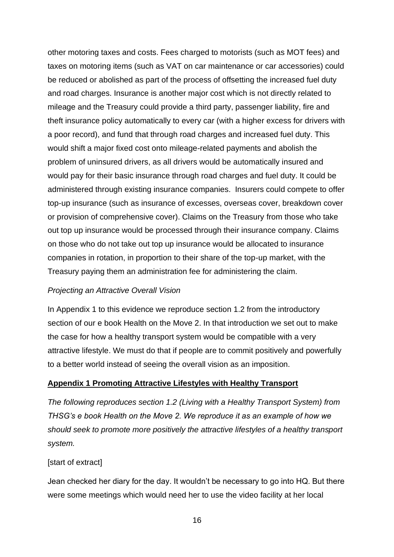other motoring taxes and costs. Fees charged to motorists (such as MOT fees) and taxes on motoring items (such as VAT on car maintenance or car accessories) could be reduced or abolished as part of the process of offsetting the increased fuel duty and road charges. Insurance is another major cost which is not directly related to mileage and the Treasury could provide a third party, passenger liability, fire and theft insurance policy automatically to every car (with a higher excess for drivers with a poor record), and fund that through road charges and increased fuel duty. This would shift a major fixed cost onto mileage-related payments and abolish the problem of uninsured drivers, as all drivers would be automatically insured and would pay for their basic insurance through road charges and fuel duty. It could be administered through existing insurance companies. Insurers could compete to offer top-up insurance (such as insurance of excesses, overseas cover, breakdown cover or provision of comprehensive cover). Claims on the Treasury from those who take out top up insurance would be processed through their insurance company. Claims on those who do not take out top up insurance would be allocated to insurance companies in rotation, in proportion to their share of the top-up market, with the Treasury paying them an administration fee for administering the claim.

### *Projecting an Attractive Overall Vision*

In Appendix 1 to this evidence we reproduce section 1.2 from the introductory section of our e book Health on the Move 2. In that introduction we set out to make the case for how a healthy transport system would be compatible with a very attractive lifestyle. We must do that if people are to commit positively and powerfully to a better world instead of seeing the overall vision as an imposition.

### **Appendix 1 Promoting Attractive Lifestyles with Healthy Transport**

*The following reproduces section 1.2 (Living with a Healthy Transport System) from THSG's e book Health on the Move 2. We reproduce it as an example of how we should seek to promote more positively the attractive lifestyles of a healthy transport system.*

### [start of extract]

Jean checked her diary for the day. It wouldn't be necessary to go into HQ. But there were some meetings which would need her to use the video facility at her local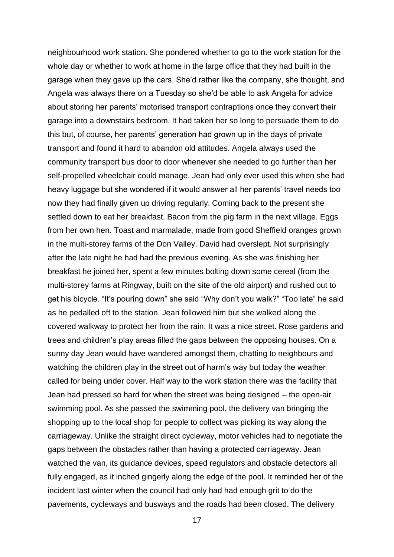neighbourhood work station. She pondered whether to go to the work station for the whole day or whether to work at home in the large office that they had built in the garage when they gave up the cars. She'd rather like the company, she thought, and Angela was always there on a Tuesday so she'd be able to ask Angela for advice about storing her parents' motorised transport contraptions once they convert their garage into a downstairs bedroom. It had taken her so long to persuade them to do this but, of course, her parents' generation had grown up in the days of private transport and found it hard to abandon old attitudes. Angela always used the community transport bus door to door whenever she needed to go further than her self-propelled wheelchair could manage. Jean had only ever used this when she had heavy luggage but she wondered if it would answer all her parents' travel needs too now they had finally given up driving regularly. Coming back to the present she settled down to eat her breakfast. Bacon from the pig farm in the next village. Eggs from her own hen. Toast and marmalade, made from good Sheffield oranges grown in the multi-storey farms of the Don Valley. David had overslept. Not surprisingly after the late night he had had the previous evening. As she was finishing her breakfast he joined her, spent a few minutes bolting down some cereal (from the multi-storey farms at Ringway, built on the site of the old airport) and rushed out to get his bicycle. "It's pouring down" she said "Why don't you walk?" "Too late" he said as he pedalled off to the station. Jean followed him but she walked along the covered walkway to protect her from the rain. It was a nice street. Rose gardens and trees and children's play areas filled the gaps between the opposing houses. On a sunny day Jean would have wandered amongst them, chatting to neighbours and watching the children play in the street out of harm's way but today the weather called for being under cover. Half way to the work station there was the facility that Jean had pressed so hard for when the street was being designed – the open-air swimming pool. As she passed the swimming pool, the delivery van bringing the shopping up to the local shop for people to collect was picking its way along the carriageway. Unlike the straight direct cycleway, motor vehicles had to negotiate the gaps between the obstacles rather than having a protected carriageway. Jean watched the van, its guidance devices, speed regulators and obstacle detectors all fully engaged, as it inched gingerly along the edge of the pool. It reminded her of the incident last winter when the council had only had had enough grit to do the pavements, cycleways and busways and the roads had been closed. The delivery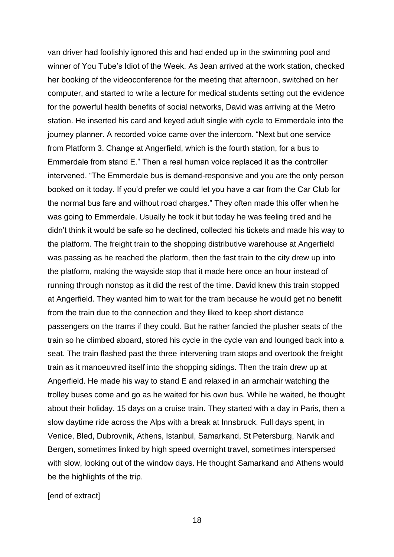van driver had foolishly ignored this and had ended up in the swimming pool and winner of You Tube's Idiot of the Week. As Jean arrived at the work station, checked her booking of the videoconference for the meeting that afternoon, switched on her computer, and started to write a lecture for medical students setting out the evidence for the powerful health benefits of social networks, David was arriving at the Metro station. He inserted his card and keyed adult single with cycle to Emmerdale into the journey planner. A recorded voice came over the intercom. "Next but one service from Platform 3. Change at Angerfield, which is the fourth station, for a bus to Emmerdale from stand E." Then a real human voice replaced it as the controller intervened. "The Emmerdale bus is demand-responsive and you are the only person booked on it today. If you'd prefer we could let you have a car from the Car Club for the normal bus fare and without road charges." They often made this offer when he was going to Emmerdale. Usually he took it but today he was feeling tired and he didn't think it would be safe so he declined, collected his tickets and made his way to the platform. The freight train to the shopping distributive warehouse at Angerfield was passing as he reached the platform, then the fast train to the city drew up into the platform, making the wayside stop that it made here once an hour instead of running through nonstop as it did the rest of the time. David knew this train stopped at Angerfield. They wanted him to wait for the tram because he would get no benefit from the train due to the connection and they liked to keep short distance passengers on the trams if they could. But he rather fancied the plusher seats of the train so he climbed aboard, stored his cycle in the cycle van and lounged back into a seat. The train flashed past the three intervening tram stops and overtook the freight train as it manoeuvred itself into the shopping sidings. Then the train drew up at Angerfield. He made his way to stand E and relaxed in an armchair watching the trolley buses come and go as he waited for his own bus. While he waited, he thought about their holiday. 15 days on a cruise train. They started with a day in Paris, then a slow daytime ride across the Alps with a break at Innsbruck. Full days spent, in Venice, Bled, Dubrovnik, Athens, Istanbul, Samarkand, St Petersburg, Narvik and Bergen, sometimes linked by high speed overnight travel, sometimes interspersed with slow, looking out of the window days. He thought Samarkand and Athens would be the highlights of the trip.

[end of extract]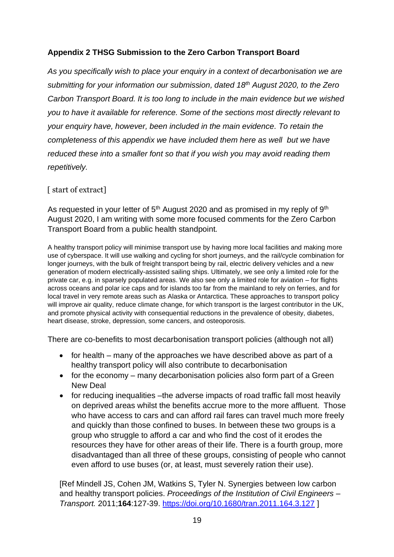# **Appendix 2 THSG Submission to the Zero Carbon Transport Board**

*As you specifically wish to place your enquiry in a context of decarbonisation we are submitting for your information our submission, dated 18th August 2020, to the Zero Carbon Transport Board. It is too long to include in the main evidence but we wished you to have it available for reference. Some of the sections most directly relevant to your enquiry have, however, been included in the main evidence. To retain the completeness of this appendix we have included them here as well but we have reduced these into a smaller font so that if you wish you may avoid reading them repetitively.*

## [ start of extract]

As requested in your letter of  $5<sup>th</sup>$  August 2020 and as promised in my reply of  $9<sup>th</sup>$ August 2020, I am writing with some more focused comments for the Zero Carbon Transport Board from a public health standpoint.

A healthy transport policy will minimise transport use by having more local facilities and making more use of cyberspace. It will use walking and cycling for short journeys, and the rail/cycle combination for longer journeys, with the bulk of freight transport being by rail, electric delivery vehicles and a new generation of modern electrically-assisted sailing ships. Ultimately, we see only a limited role for the private car, e.g. in sparsely populated areas. We also see only a limited role for aviation – for flights across oceans and polar ice caps and for islands too far from the mainland to rely on ferries, and for local travel in very remote areas such as Alaska or Antarctica. These approaches to transport policy will improve air quality, reduce climate change, for which transport is the largest contributor in the UK, and promote physical activity with consequential reductions in the prevalence of obesity, diabetes, heart disease, stroke, depression, some cancers, and osteoporosis.

There are co-benefits to most decarbonisation transport policies (although not all)

- for health many of the approaches we have described above as part of a healthy transport policy will also contribute to decarbonisation
- for the economy many decarbonisation policies also form part of a Green New Deal
- for reducing inequalities –the adverse impacts of road traffic fall most heavily on deprived areas whilst the benefits accrue more to the more affluent. Those who have access to cars and can afford rail fares can travel much more freely and quickly than those confined to buses. In between these two groups is a group who struggle to afford a car and who find the cost of it erodes the resources they have for other areas of their life. There is a fourth group, more disadvantaged than all three of these groups, consisting of people who cannot even afford to use buses (or, at least, must severely ration their use).

[Ref Mindell JS, Cohen JM, Watkins S, Tyler N. Synergies between low carbon and healthy transport policies. *Proceedings of the Institution of Civil Engineers – Transport.* 2011;**164**:127-39. <https://doi.org/10.1680/tran.2011.164.3.127> ]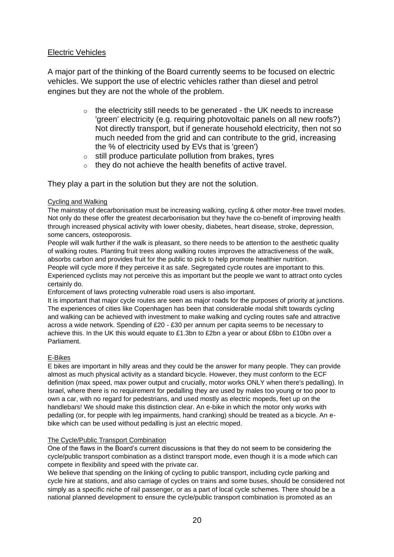## Electric Vehicles

A major part of the thinking of the Board currently seems to be focused on electric vehicles. We support the use of electric vehicles rather than diesel and petrol engines but they are not the whole of the problem.

- $\circ$  the electricity still needs to be generated the UK needs to increase 'green' electricity (e.g. requiring photovoltaic panels on all new roofs?) Not directly transport, but if generate household electricity, then not so much needed from the grid and can contribute to the grid, increasing the % of electricity used by EVs that is 'green')
- o still produce particulate pollution from brakes, tyres
- o they do not achieve the health benefits of active travel.

They play a part in the solution but they are not the solution.

#### Cycling and Walking

The mainstay of decarbonisation must be increasing walking, cycling & other motor-free travel modes. Not only do these offer the greatest decarbonisation but they have the co-benefit of improving health through increased physical activity with lower obesity, diabetes, heart disease, stroke, depression, some cancers, osteoporosis.

People will walk further if the walk is pleasant, so there needs to be attention to the aesthetic quality of walking routes. Planting fruit trees along walking routes improves the attractiveness of the walk, absorbs carbon and provides fruit for the public to pick to help promote healthier nutrition.

People will cycle more if they perceive it as safe. Segregated cycle routes are important to this. Experienced cyclists may not perceive this as important but the people we want to attract onto cycles certainly do.

Enforcement of laws protecting vulnerable road users is also important.

It is important that major cycle routes are seen as major roads for the purposes of priority at junctions. The experiences of cities like Copenhagen has been that considerable modal shift towards cycling and walking can be achieved with investment to make walking and cycling routes safe and attractive across a wide network. Spending of £20 - £30 per annum per capita seems to be necessary to achieve this. In the UK this would equate to £1.3bn to £2bn a year or about £6bn to £10bn over a Parliament.

#### E-Bikes

E bikes are important in hilly areas and they could be the answer for many people. They can provide almost as much physical activity as a standard bicycle. However, they must conform to the ECF definition (max speed, max power output and crucially, motor works ONLY when there's pedalling). In Israel, where there is no requirement for pedalling they are used by males too young or too poor to own a car, with no regard for pedestrians, and used mostly as electric mopeds, feet up on the handlebars! We should make this distinction clear. An e-bike in which the motor only works with pedalling (or, for people with leg impairments, hand cranking) should be treated as a bicycle. An ebike which can be used without pedalling is just an electric moped.

#### The Cycle/Public Transport Combination

One of the flaws in the Board's current discussions is that they do not seem to be considering the cycle/public transport combination as a distinct transport mode, even though it is a mode which can compete in flexibility and speed with the private car.

We believe that spending on the linking of cycling to public transport, including cycle parking and cycle hire at stations, and also carriage of cycles on trains and some buses, should be considered not simply as a specific niche of rail passenger, or as a part of local cycle schemes. There should be a national planned development to ensure the cycle/public transport combination is promoted as an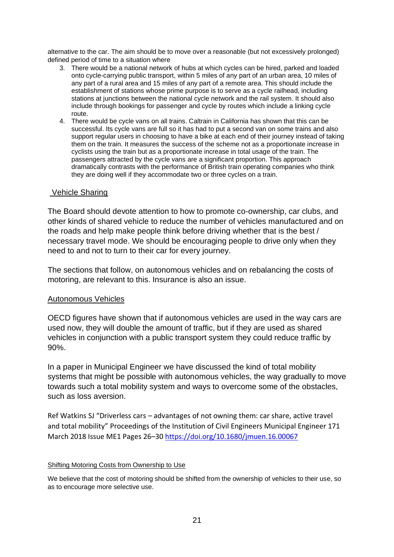alternative to the car. The aim should be to move over a reasonable (but not excessively prolonged) defined period of time to a situation where

- 3. There would be a national network of hubs at which cycles can be hired, parked and loaded onto cycle-carrying public transport, within 5 miles of any part of an urban area, 10 miles of any part of a rural area and 15 miles of any part of a remote area. This should include the establishment of stations whose prime purpose is to serve as a cycle railhead, including stations at junctions between the national cycle network and the rail system. It should also include through bookings for passenger and cycle by routes which include a linking cycle route.
- 4. There would be cycle vans on all trains. Caltrain in California has shown that this can be successful. Its cycle vans are full so it has had to put a second van on some trains and also support regular users in choosing to have a bike at each end of their journey instead of taking them on the train. It measures the success of the scheme not as a proportionate increase in cyclists using the train but as a proportionate increase in total usage of the train. The passengers attracted by the cycle vans are a significant proportion. This approach dramatically contrasts with the performance of British train operating companies who think they are doing well if they accommodate two or three cycles on a train.

### Vehicle Sharing

The Board should devote attention to how to promote co-ownership, car clubs, and other kinds of shared vehicle to reduce the number of vehicles manufactured and on the roads and help make people think before driving whether that is the best / necessary travel mode. We should be encouraging people to drive only when they need to and not to turn to their car for every journey.

The sections that follow, on autonomous vehicles and on rebalancing the costs of motoring, are relevant to this. Insurance is also an issue.

### Autonomous Vehicles

OECD figures have shown that if autonomous vehicles are used in the way cars are used now, they will double the amount of traffic, but if they are used as shared vehicles in conjunction with a public transport system they could reduce traffic by 90%.

In a paper in Municipal Engineer we have discussed the kind of total mobility systems that might be possible with autonomous vehicles, the way gradually to move towards such a total mobility system and ways to overcome some of the obstacles, such as loss aversion.

Ref Watkins SJ "Driverless cars – advantages of not owning them: car share, active travel and total mobility" Proceedings of the Institution of Civil Engineers Municipal Engineer 171 March 2018 Issue ME1 Pages 26–30<https://doi.org/10.1680/jmuen.16.00067>

#### Shifting Motoring Costs from Ownership to Use

We believe that the cost of motoring should be shifted from the ownership of vehicles to their use, so as to encourage more selective use.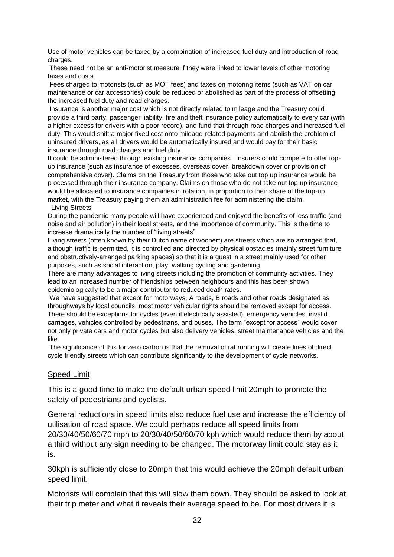Use of motor vehicles can be taxed by a combination of increased fuel duty and introduction of road charges.

These need not be an anti-motorist measure if they were linked to lower levels of other motoring taxes and costs.

Fees charged to motorists (such as MOT fees) and taxes on motoring items (such as VAT on car maintenance or car accessories) could be reduced or abolished as part of the process of offsetting the increased fuel duty and road charges.

Insurance is another major cost which is not directly related to mileage and the Treasury could provide a third party, passenger liability, fire and theft insurance policy automatically to every car (with a higher excess for drivers with a poor record), and fund that through road charges and increased fuel duty. This would shift a major fixed cost onto mileage-related payments and abolish the problem of uninsured drivers, as all drivers would be automatically insured and would pay for their basic insurance through road charges and fuel duty.

It could be administered through existing insurance companies. Insurers could compete to offer topup insurance (such as insurance of excesses, overseas cover, breakdown cover or provision of comprehensive cover). Claims on the Treasury from those who take out top up insurance would be processed through their insurance company. Claims on those who do not take out top up insurance would be allocated to insurance companies in rotation, in proportion to their share of the top-up market, with the Treasury paying them an administration fee for administering the claim. Living Streets

During the pandemic many people will have experienced and enjoyed the benefits of less traffic (and noise and air pollution) in their local streets, and the importance of community. This is the time to increase dramatically the number of "living streets".

Living streets (often known by their Dutch name of woonerf) are streets which are so arranged that, although traffic is permitted, it is controlled and directed by physical obstacles (mainly street furniture and obstructively-arranged parking spaces) so that it is a guest in a street mainly used for other purposes, such as social interaction, play, walking cycling and gardening.

There are many advantages to living streets including the promotion of community activities. They lead to an increased number of friendships between neighbours and this has been shown epidemiologically to be a major contributor to reduced death rates.

We have suggested that except for motorways, A roads, B roads and other roads designated as throughways by local councils, most motor vehicular rights should be removed except for access. There should be exceptions for cycles (even if electrically assisted), emergency vehicles, invalid carriages, vehicles controlled by pedestrians, and buses. The term "except for access" would cover not only private cars and motor cycles but also delivery vehicles, street maintenance vehicles and the like.

The significance of this for zero carbon is that the removal of rat running will create lines of direct cycle friendly streets which can contribute significantly to the development of cycle networks.

### Speed Limit

This is a good time to make the default urban speed limit 20mph to promote the safety of pedestrians and cyclists.

General reductions in speed limits also reduce fuel use and increase the efficiency of utilisation of road space. We could perhaps reduce all speed limits from 20/30/40/50/60/70 mph to 20/30/40/50/60/70 kph which would reduce them by about a third without any sign needing to be changed. The motorway limit could stay as it is.

30kph is sufficiently close to 20mph that this would achieve the 20mph default urban speed limit.

Motorists will complain that this will slow them down. They should be asked to look at their trip meter and what it reveals their average speed to be. For most drivers it is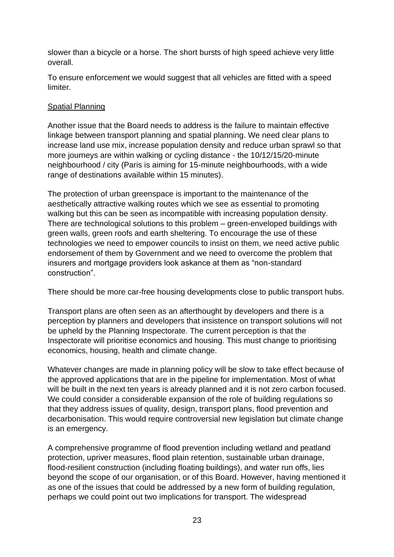slower than a bicycle or a horse. The short bursts of high speed achieve very little overall.

To ensure enforcement we would suggest that all vehicles are fitted with a speed limiter.

## Spatial Planning

Another issue that the Board needs to address is the failure to maintain effective linkage between transport planning and spatial planning. We need clear plans to increase land use mix, increase population density and reduce urban sprawl so that more journeys are within walking or cycling distance - the 10/12/15/20-minute neighbourhood / city (Paris is aiming for 15-minute neighbourhoods, with a wide range of destinations available within 15 minutes).

The protection of urban greenspace is important to the maintenance of the aesthetically attractive walking routes which we see as essential to promoting walking but this can be seen as incompatible with increasing population density. There are technological solutions to this problem – green-enveloped buildings with green walls, green roofs and earth sheltering. To encourage the use of these technologies we need to empower councils to insist on them, we need active public endorsement of them by Government and we need to overcome the problem that insurers and mortgage providers look askance at them as "non-standard construction".

There should be more car-free housing developments close to public transport hubs.

Transport plans are often seen as an afterthought by developers and there is a perception by planners and developers that insistence on transport solutions will not be upheld by the Planning Inspectorate. The current perception is that the Inspectorate will prioritise economics and housing. This must change to prioritising economics, housing, health and climate change.

Whatever changes are made in planning policy will be slow to take effect because of the approved applications that are in the pipeline for implementation. Most of what will be built in the next ten years is already planned and it is not zero carbon focused. We could consider a considerable expansion of the role of building regulations so that they address issues of quality, design, transport plans, flood prevention and decarbonisation. This would require controversial new legislation but climate change is an emergency.

A comprehensive programme of flood prevention including wetland and peatland protection, upriver measures, flood plain retention, sustainable urban drainage, flood-resilient construction (including floating buildings), and water run offs, lies beyond the scope of our organisation, or of this Board. However, having mentioned it as one of the issues that could be addressed by a new form of building regulation, perhaps we could point out two implications for transport. The widespread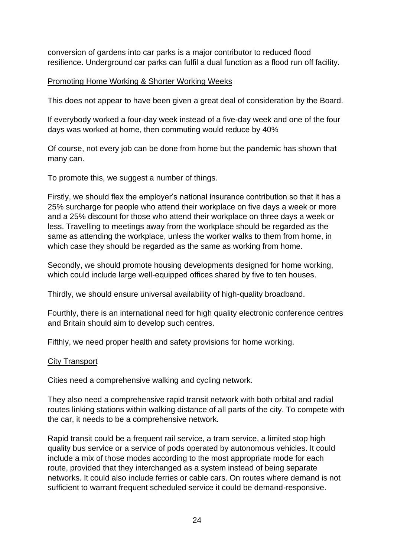conversion of gardens into car parks is a major contributor to reduced flood resilience. Underground car parks can fulfil a dual function as a flood run off facility.

### Promoting Home Working & Shorter Working Weeks

This does not appear to have been given a great deal of consideration by the Board.

If everybody worked a four-day week instead of a five-day week and one of the four days was worked at home, then commuting would reduce by 40%

Of course, not every job can be done from home but the pandemic has shown that many can.

To promote this, we suggest a number of things.

Firstly, we should flex the employer's national insurance contribution so that it has a 25% surcharge for people who attend their workplace on five days a week or more and a 25% discount for those who attend their workplace on three days a week or less. Travelling to meetings away from the workplace should be regarded as the same as attending the workplace, unless the worker walks to them from home, in which case they should be regarded as the same as working from home.

Secondly, we should promote housing developments designed for home working, which could include large well-equipped offices shared by five to ten houses.

Thirdly, we should ensure universal availability of high-quality broadband.

Fourthly, there is an international need for high quality electronic conference centres and Britain should aim to develop such centres.

Fifthly, we need proper health and safety provisions for home working.

### City Transport

Cities need a comprehensive walking and cycling network.

They also need a comprehensive rapid transit network with both orbital and radial routes linking stations within walking distance of all parts of the city. To compete with the car, it needs to be a comprehensive network.

Rapid transit could be a frequent rail service, a tram service, a limited stop high quality bus service or a service of pods operated by autonomous vehicles. It could include a mix of those modes according to the most appropriate mode for each route, provided that they interchanged as a system instead of being separate networks. It could also include ferries or cable cars. On routes where demand is not sufficient to warrant frequent scheduled service it could be demand-responsive.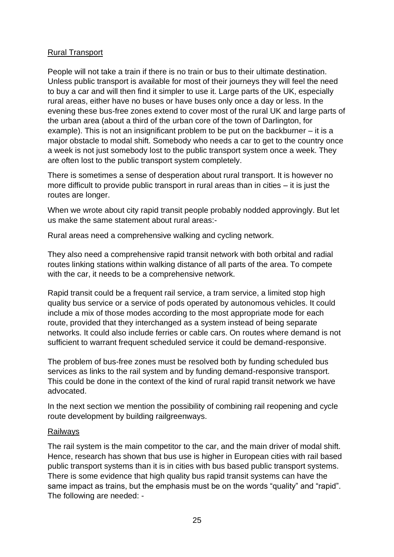## Rural Transport

People will not take a train if there is no train or bus to their ultimate destination. Unless public transport is available for most of their journeys they will feel the need to buy a car and will then find it simpler to use it. Large parts of the UK, especially rural areas, either have no buses or have buses only once a day or less. In the evening these bus-free zones extend to cover most of the rural UK and large parts of the urban area (about a third of the urban core of the town of Darlington, for example). This is not an insignificant problem to be put on the backburner – it is a major obstacle to modal shift. Somebody who needs a car to get to the country once a week is not just somebody lost to the public transport system once a week. They are often lost to the public transport system completely.

There is sometimes a sense of desperation about rural transport. It is however no more difficult to provide public transport in rural areas than in cities – it is just the routes are longer.

When we wrote about city rapid transit people probably nodded approvingly. But let us make the same statement about rural areas:-

Rural areas need a comprehensive walking and cycling network.

They also need a comprehensive rapid transit network with both orbital and radial routes linking stations within walking distance of all parts of the area. To compete with the car, it needs to be a comprehensive network.

Rapid transit could be a frequent rail service, a tram service, a limited stop high quality bus service or a service of pods operated by autonomous vehicles. It could include a mix of those modes according to the most appropriate mode for each route, provided that they interchanged as a system instead of being separate networks. It could also include ferries or cable cars. On routes where demand is not sufficient to warrant frequent scheduled service it could be demand-responsive.

The problem of bus-free zones must be resolved both by funding scheduled bus services as links to the rail system and by funding demand-responsive transport. This could be done in the context of the kind of rural rapid transit network we have advocated.

In the next section we mention the possibility of combining rail reopening and cycle route development by building railgreenways.

### Railways

The rail system is the main competitor to the car, and the main driver of modal shift. Hence, research has shown that bus use is higher in European cities with rail based public transport systems than it is in cities with bus based public transport systems. There is some evidence that high quality bus rapid transit systems can have the same impact as trains, but the emphasis must be on the words "quality" and "rapid". The following are needed: -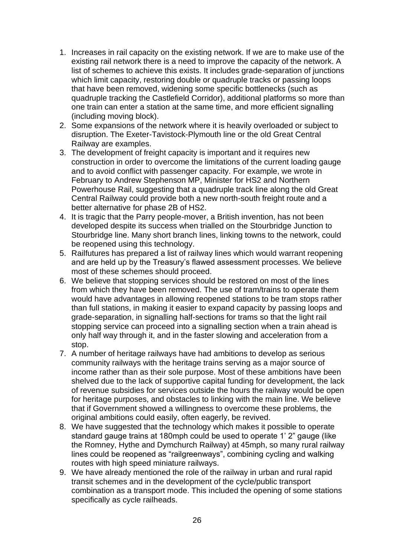- 1. Increases in rail capacity on the existing network. If we are to make use of the existing rail network there is a need to improve the capacity of the network. A list of schemes to achieve this exists. It includes grade-separation of junctions which limit capacity, restoring double or quadruple tracks or passing loops that have been removed, widening some specific bottlenecks (such as quadruple tracking the Castlefield Corridor), additional platforms so more than one train can enter a station at the same time, and more efficient signalling (including moving block).
- 2. Some expansions of the network where it is heavily overloaded or subject to disruption. The Exeter-Tavistock-Plymouth line or the old Great Central Railway are examples.
- 3. The development of freight capacity is important and it requires new construction in order to overcome the limitations of the current loading gauge and to avoid conflict with passenger capacity. For example, we wrote in February to Andrew Stephenson MP, Minister for HS2 and Northern Powerhouse Rail, suggesting that a quadruple track line along the old Great Central Railway could provide both a new north-south freight route and a better alternative for phase 2B of HS2.
- 4. It is tragic that the Parry people-mover, a British invention, has not been developed despite its success when trialled on the Stourbridge Junction to Stourbridge line. Many short branch lines, linking towns to the network, could be reopened using this technology.
- 5. Railfutures has prepared a list of railway lines which would warrant reopening and are held up by the Treasury's flawed assessment processes. We believe most of these schemes should proceed.
- 6. We believe that stopping services should be restored on most of the lines from which they have been removed. The use of tram/trains to operate them would have advantages in allowing reopened stations to be tram stops rather than full stations, in making it easier to expand capacity by passing loops and grade-separation, in signalling half-sections for trams so that the light rail stopping service can proceed into a signalling section when a train ahead is only half way through it, and in the faster slowing and acceleration from a stop.
- 7. A number of heritage railways have had ambitions to develop as serious community railways with the heritage trains serving as a major source of income rather than as their sole purpose. Most of these ambitions have been shelved due to the lack of supportive capital funding for development, the lack of revenue subsidies for services outside the hours the railway would be open for heritage purposes, and obstacles to linking with the main line. We believe that if Government showed a willingness to overcome these problems, the original ambitions could easily, often eagerly, be revived.
- 8. We have suggested that the technology which makes it possible to operate standard gauge trains at 180mph could be used to operate 1' 2" gauge (like the Romney, Hythe and Dymchurch Railway) at 45mph, so many rural railway lines could be reopened as "railgreenways", combining cycling and walking routes with high speed miniature railways.
- 9. We have already mentioned the role of the railway in urban and rural rapid transit schemes and in the development of the cycle/public transport combination as a transport mode. This included the opening of some stations specifically as cycle railheads.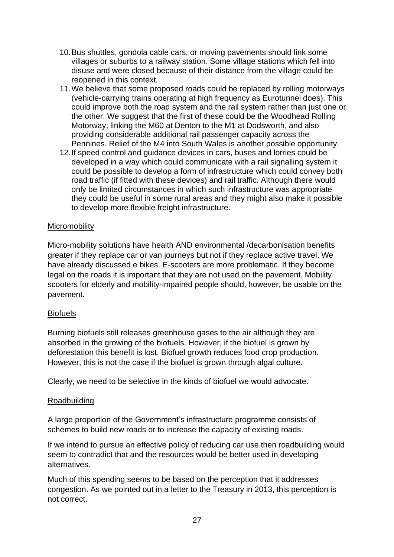- 10.Bus shuttles, gondola cable cars, or moving pavements should link some villages or suburbs to a railway station. Some village stations which fell into disuse and were closed because of their distance from the village could be reopened in this context.
- 11.We believe that some proposed roads could be replaced by rolling motorways (vehicle-carrying trains operating at high frequency as Eurotunnel does). This could improve both the road system and the rail system rather than just one or the other. We suggest that the first of these could be the Woodhead Rolling Motorway, linking the M60 at Denton to the M1 at Dodsworth, and also providing considerable additional rail passenger capacity across the Pennines. Relief of the M4 into South Wales is another possible opportunity.
- 12.If speed control and guidance devices in cars, buses and lorries could be developed in a way which could communicate with a rail signalling system it could be possible to develop a form of infrastructure which could convey both road traffic (if fitted with these devices) and rail traffic. Although there would only be limited circumstances in which such infrastructure was appropriate they could be useful in some rural areas and they might also make it possible to develop more flexible freight infrastructure.

# **Micromobility**

Micro-mobility solutions have health AND environmental /decarbonisation benefits greater if they replace car or van journeys but not if they replace active travel. We have already discussed e bikes. E-scooters are more problematic. If they become legal on the roads it is important that they are not used on the pavement. Mobility scooters for elderly and mobility-impaired people should, however, be usable on the pavement.

### Biofuels

Burning biofuels still releases greenhouse gases to the air although they are absorbed in the growing of the biofuels. However, if the biofuel is grown by deforestation this benefit is lost. Biofuel growth reduces food crop production. However, this is not the case if the biofuel is grown through algal culture.

Clearly, we need to be selective in the kinds of biofuel we would advocate.

### Roadbuilding

A large proportion of the Government's infrastructure programme consists of schemes to build new roads or to increase the capacity of existing roads.

If we intend to pursue an effective policy of reducing car use then roadbuilding would seem to contradict that and the resources would be better used in developing alternatives.

Much of this spending seems to be based on the perception that it addresses congestion. As we pointed out in a letter to the Treasury in 2013, this perception is not correct.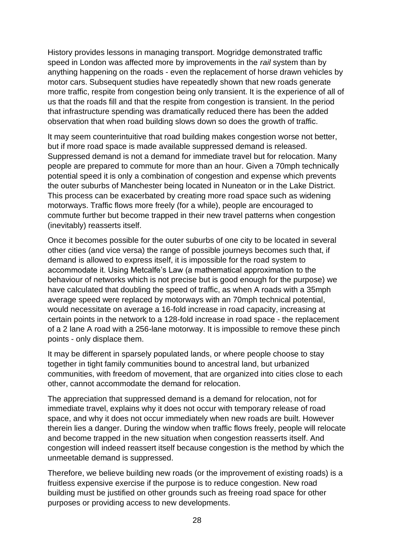History provides lessons in managing transport. Mogridge demonstrated traffic speed in London was affected more by improvements in the *rail* system than by anything happening on the roads - even the replacement of horse drawn vehicles by motor cars. Subsequent studies have repeatedly shown that new roads generate more traffic, respite from congestion being only transient. It is the experience of all of us that the roads fill and that the respite from congestion is transient. In the period that infrastructure spending was dramatically reduced there has been the added observation that when road building slows down so does the growth of traffic.

It may seem counterintuitive that road building makes congestion worse not better, but if more road space is made available suppressed demand is released. Suppressed demand is not a demand for immediate travel but for relocation. Many people are prepared to commute for more than an hour. Given a 70mph technically potential speed it is only a combination of congestion and expense which prevents the outer suburbs of Manchester being located in Nuneaton or in the Lake District. This process can be exacerbated by creating more road space such as widening motorways. Traffic flows more freely (for a while), people are encouraged to commute further but become trapped in their new travel patterns when congestion (inevitably) reasserts itself.

Once it becomes possible for the outer suburbs of one city to be located in several other cities (and vice versa) the range of possible journeys becomes such that, if demand is allowed to express itself, it is impossible for the road system to accommodate it. Using Metcalfe's Law (a mathematical approximation to the behaviour of networks which is not precise but is good enough for the purpose) we have calculated that doubling the speed of traffic, as when A roads with a 35mph average speed were replaced by motorways with an 70mph technical potential, would necessitate on average a 16-fold increase in road capacity, increasing at certain points in the network to a 128-fold increase in road space - the replacement of a 2 lane A road with a 256-lane motorway. It is impossible to remove these pinch points - only displace them.

It may be different in sparsely populated lands, or where people choose to stay together in tight family communities bound to ancestral land, but urbanized communities, with freedom of movement, that are organized into cities close to each other, cannot accommodate the demand for relocation.

The appreciation that suppressed demand is a demand for relocation, not for immediate travel, explains why it does not occur with temporary release of road space, and why it does not occur immediately when new roads are built. However therein lies a danger. During the window when traffic flows freely, people will relocate and become trapped in the new situation when congestion reasserts itself. And congestion will indeed reassert itself because congestion is the method by which the unmeetable demand is suppressed.

Therefore, we believe building new roads (or the improvement of existing roads) is a fruitless expensive exercise if the purpose is to reduce congestion. New road building must be justified on other grounds such as freeing road space for other purposes or providing access to new developments.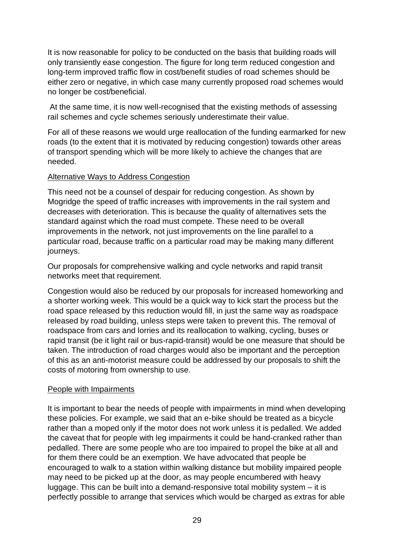It is now reasonable for policy to be conducted on the basis that building roads will only transiently ease congestion. The figure for long term reduced congestion and long-term improved traffic flow in cost/benefit studies of road schemes should be either zero or negative, in which case many currently proposed road schemes would no longer be cost/beneficial.

At the same time, it is now well-recognised that the existing methods of assessing rail schemes and cycle schemes seriously underestimate their value.

For all of these reasons we would urge reallocation of the funding earmarked for new roads (to the extent that it is motivated by reducing congestion) towards other areas of transport spending which will be more likely to achieve the changes that are needed.

## Alternative Ways to Address Congestion

This need not be a counsel of despair for reducing congestion. As shown by Mogridge the speed of traffic increases with improvements in the rail system and decreases with deterioration. This is because the quality of alternatives sets the standard against which the road must compete. These need to be overall improvements in the network, not just improvements on the line parallel to a particular road, because traffic on a particular road may be making many different journeys.

Our proposals for comprehensive walking and cycle networks and rapid transit networks meet that requirement.

Congestion would also be reduced by our proposals for increased homeworking and a shorter working week. This would be a quick way to kick start the process but the road space released by this reduction would fill, in just the same way as roadspace released by road building, unless steps were taken to prevent this. The removal of roadspace from cars and lorries and its reallocation to walking, cycling, buses or rapid transit (be it light rail or bus-rapid-transit) would be one measure that should be taken. The introduction of road charges would also be important and the perception of this as an anti-motorist measure could be addressed by our proposals to shift the costs of motoring from ownership to use.

### People with Impairments

It is important to bear the needs of people with impairments in mind when developing these policies. For example, we said that an e-bike should be treated as a bicycle rather than a moped only if the motor does not work unless it is pedalled. We added the caveat that for people with leg impairments it could be hand-cranked rather than pedalled. There are some people who are too impaired to propel the bike at all and for them there could be an exemption. We have advocated that people be encouraged to walk to a station within walking distance but mobility impaired people may need to be picked up at the door, as may people encumbered with heavy luggage. This can be built into a demand-responsive total mobility system – it is perfectly possible to arrange that services which would be charged as extras for able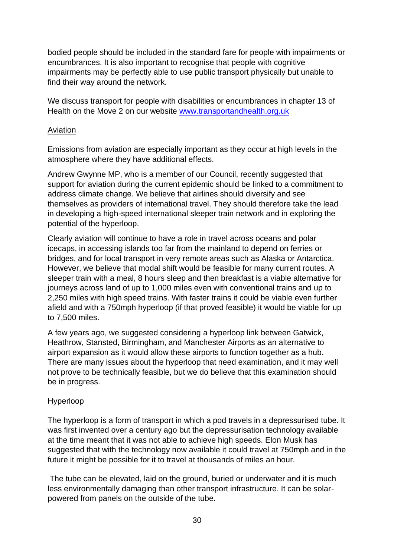bodied people should be included in the standard fare for people with impairments or encumbrances. It is also important to recognise that people with cognitive impairments may be perfectly able to use public transport physically but unable to find their way around the network.

We discuss transport for people with disabilities or encumbrances in chapter 13 of Health on the Move 2 on our website [www.transportandhealth.org.uk](http://www.transportandhealth.org.uk/)

## Aviation

Emissions from aviation are especially important as they occur at high levels in the atmosphere where they have additional effects.

Andrew Gwynne MP, who is a member of our Council, recently suggested that support for aviation during the current epidemic should be linked to a commitment to address climate change. We believe that airlines should diversify and see themselves as providers of international travel. They should therefore take the lead in developing a high-speed international sleeper train network and in exploring the potential of the hyperloop.

Clearly aviation will continue to have a role in travel across oceans and polar icecaps, in accessing islands too far from the mainland to depend on ferries or bridges, and for local transport in very remote areas such as Alaska or Antarctica. However, we believe that modal shift would be feasible for many current routes. A sleeper train with a meal, 8 hours sleep and then breakfast is a viable alternative for journeys across land of up to 1,000 miles even with conventional trains and up to 2,250 miles with high speed trains. With faster trains it could be viable even further afield and with a 750mph hyperloop (if that proved feasible) it would be viable for up to 7,500 miles.

A few years ago, we suggested considering a hyperloop link between Gatwick, Heathrow, Stansted, Birmingham, and Manchester Airports as an alternative to airport expansion as it would allow these airports to function together as a hub. There are many issues about the hyperloop that need examination, and it may well not prove to be technically feasible, but we do believe that this examination should be in progress.

### Hyperloop

The hyperloop is a form of transport in which a pod travels in a depressurised tube. It was first invented over a century ago but the depressurisation technology available at the time meant that it was not able to achieve high speeds. Elon Musk has suggested that with the technology now available it could travel at 750mph and in the future it might be possible for it to travel at thousands of miles an hour.

The tube can be elevated, laid on the ground, buried or underwater and it is much less environmentally damaging than other transport infrastructure. It can be solarpowered from panels on the outside of the tube.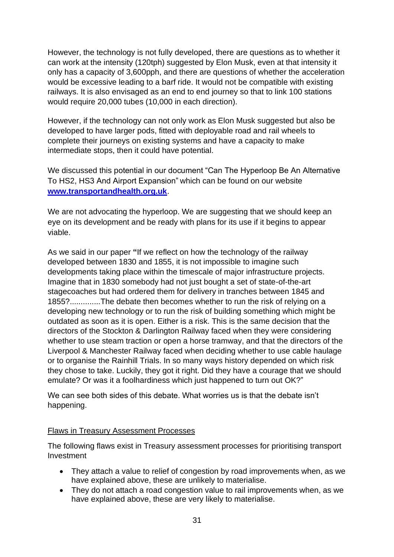However, the technology is not fully developed, there are questions as to whether it can work at the intensity (120tph) suggested by Elon Musk, even at that intensity it only has a capacity of 3,600pph, and there are questions of whether the acceleration would be excessive leading to a barf ride. It would not be compatible with existing railways. It is also envisaged as an end to end journey so that to link 100 stations would require 20,000 tubes (10,000 in each direction).

However, if the technology can not only work as Elon Musk suggested but also be developed to have larger pods, fitted with deployable road and rail wheels to complete their journeys on existing systems and have a capacity to make intermediate stops, then it could have potential.

We discussed this potential in our document "Can The Hyperloop Be An Alternative To HS2, HS3 And Airport Expansion" which can be found on our website **[www.transportandhealth.org.uk](http://www.transportandhealth.org.uk/)**.

We are not advocating the hyperloop. We are suggesting that we should keep an eye on its development and be ready with plans for its use if it begins to appear viable.

As we said in our paper **"**If we reflect on how the technology of the railway developed between 1830 and 1855, it is not impossible to imagine such developments taking place within the timescale of major infrastructure projects. Imagine that in 1830 somebody had not just bought a set of state-of-the-art stagecoaches but had ordered them for delivery in tranches between 1845 and 1855?..............The debate then becomes whether to run the risk of relying on a developing new technology or to run the risk of building something which might be outdated as soon as it is open. Either is a risk. This is the same decision that the directors of the Stockton & Darlington Railway faced when they were considering whether to use steam traction or open a horse tramway, and that the directors of the Liverpool & Manchester Railway faced when deciding whether to use cable haulage or to organise the Rainhill Trials. In so many ways history depended on which risk they chose to take. Luckily, they got it right. Did they have a courage that we should emulate? Or was it a foolhardiness which just happened to turn out OK?"

We can see both sides of this debate. What worries us is that the debate isn't happening.

# Flaws in Treasury Assessment Processes

The following flaws exist in Treasury assessment processes for prioritising transport Investment

- They attach a value to relief of congestion by road improvements when, as we have explained above, these are unlikely to materialise.
- They do not attach a road congestion value to rail improvements when, as we have explained above, these are very likely to materialise.